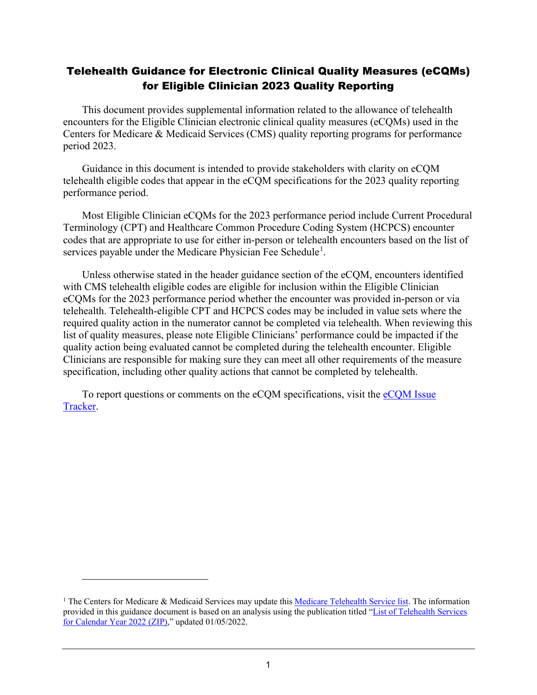# Telehealth Guidance for Electronic Clinical Quality Measures (eCQMs) for Eligible Clinician 2023 Quality Reporting

This document provides supplemental information related to the allowance of telehealth encounters for the Eligible Clinician electronic clinical quality measures (eCQMs) used in the Centers for Medicare & Medicaid Services (CMS) quality reporting programs for performance period 2023.

Guidance in this document is intended to provide stakeholders with clarity on eCQM telehealth eligible codes that appear in the eCQM specifications for the 2023 quality reporting performance period.

Most Eligible Clinician eCQMs for the 2023 performance period include Current Procedural Terminology (CPT) and Healthcare Common Procedure Coding System (HCPCS) encounter codes that are appropriate to use for either in-person or telehealth encounters based on the list of services payable under the Medicare Physician Fee Schedule<sup>[1](#page-0-0)</sup>.

Unless otherwise stated in the header guidance section of the eCQM, encounters identified with CMS telehealth eligible codes are eligible for inclusion within the Eligible Clinician eCQMs for the 2023 performance period whether the encounter was provided in-person or via telehealth. Telehealth-eligible CPT and HCPCS codes may be included in value sets where the required quality action in the numerator cannot be completed via telehealth. When reviewing this list of quality measures, please note Eligible Clinicians' performance could be impacted if the quality action being evaluated cannot be completed during the telehealth encounter. Eligible Clinicians are responsible for making sure they can meet all other requirements of the measure specification, including other quality actions that cannot be completed by telehealth.

To report questions or comments on the eCQM specifications, visit the eCQM Issue [Tracker.](https://oncprojectracking.healthit.gov/support/projects/CQM/issues)

<span id="page-0-0"></span><sup>&</sup>lt;sup>1</sup> The Centers for Medicare & Medicaid Services may update this [Medicare Telehealth Service list.](https://www.cms.gov/Medicare/Medicare-general-information/telehealth/telehealth-codes) The information provided in this guidance document is based on an analysis using the publication titled ["List of Telehealth Services](https://www.cms.gov/files/zip/list-telehealth-services-calendar-year-2022.zip-0)  [for Calendar Year 2022 \(ZIP\),](https://www.cms.gov/files/zip/list-telehealth-services-calendar-year-2022.zip-0)" updated 01/05/2022.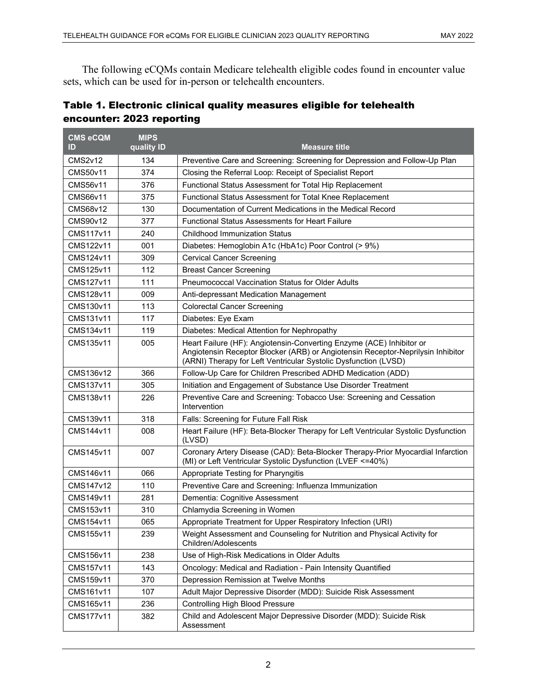The following eCQMs contain Medicare telehealth eligible codes found in encounter value sets, which can be used for in-person or telehealth encounters.

|                           | Table 1. Electronic clinical quality measures eligible for telehealth |
|---------------------------|-----------------------------------------------------------------------|
| encounter: 2023 reporting |                                                                       |

| <b>CMS eCQM</b><br>ID | <b>MIPS</b><br>quality <b>ID</b> | <b>Measure title</b>                                                                                                                                                                                                       |  |
|-----------------------|----------------------------------|----------------------------------------------------------------------------------------------------------------------------------------------------------------------------------------------------------------------------|--|
| <b>CMS2v12</b>        | 134                              | Preventive Care and Screening: Screening for Depression and Follow-Up Plan                                                                                                                                                 |  |
| <b>CMS50v11</b>       | 374                              | Closing the Referral Loop: Receipt of Specialist Report                                                                                                                                                                    |  |
| <b>CMS56v11</b>       | 376                              | Functional Status Assessment for Total Hip Replacement                                                                                                                                                                     |  |
| CMS66v11              | 375                              | Functional Status Assessment for Total Knee Replacement                                                                                                                                                                    |  |
| CMS68v12              | 130                              | Documentation of Current Medications in the Medical Record                                                                                                                                                                 |  |
| CMS90v12              | 377                              | <b>Functional Status Assessments for Heart Failure</b>                                                                                                                                                                     |  |
| CMS117v11             | 240                              | <b>Childhood Immunization Status</b>                                                                                                                                                                                       |  |
| CMS122v11             | 001                              | Diabetes: Hemoglobin A1c (HbA1c) Poor Control (> 9%)                                                                                                                                                                       |  |
| CMS124v11             | 309                              | <b>Cervical Cancer Screening</b>                                                                                                                                                                                           |  |
| CMS125v11             | 112                              | <b>Breast Cancer Screening</b>                                                                                                                                                                                             |  |
| CMS127v11             | 111                              | Pneumococcal Vaccination Status for Older Adults                                                                                                                                                                           |  |
| CMS128v11             | 009                              | Anti-depressant Medication Management                                                                                                                                                                                      |  |
| CMS130v11             | 113                              | <b>Colorectal Cancer Screening</b>                                                                                                                                                                                         |  |
| CMS131v11             | 117                              | Diabetes: Eye Exam                                                                                                                                                                                                         |  |
| CMS134v11             | 119                              | Diabetes: Medical Attention for Nephropathy                                                                                                                                                                                |  |
| CMS135v11             | 005                              | Heart Failure (HF): Angiotensin-Converting Enzyme (ACE) Inhibitor or<br>Angiotensin Receptor Blocker (ARB) or Angiotensin Receptor-Neprilysin Inhibitor<br>(ARNI) Therapy for Left Ventricular Systolic Dysfunction (LVSD) |  |
| CMS136v12             | 366                              | Follow-Up Care for Children Prescribed ADHD Medication (ADD)                                                                                                                                                               |  |
| CMS137v11             | 305                              | Initiation and Engagement of Substance Use Disorder Treatment                                                                                                                                                              |  |
| CMS138v11             | 226                              | Preventive Care and Screening: Tobacco Use: Screening and Cessation<br>Intervention                                                                                                                                        |  |
| CMS139v11             | 318                              | Falls: Screening for Future Fall Risk                                                                                                                                                                                      |  |
| CMS144v11             | 008                              | Heart Failure (HF): Beta-Blocker Therapy for Left Ventricular Systolic Dysfunction<br>(LVSD)                                                                                                                               |  |
| CMS145v11             | 007                              | Coronary Artery Disease (CAD): Beta-Blocker Therapy-Prior Myocardial Infarction<br>(MI) or Left Ventricular Systolic Dysfunction (LVEF <= 40%)                                                                             |  |
| CMS146v11             | 066                              | Appropriate Testing for Pharyngitis                                                                                                                                                                                        |  |
| CMS147v12             | 110                              | Preventive Care and Screening: Influenza Immunization                                                                                                                                                                      |  |
| CMS149v11             | 281                              | Dementia: Cognitive Assessment                                                                                                                                                                                             |  |
| CMS153v11             | 310                              | Chlamydia Screening in Women                                                                                                                                                                                               |  |
| CMS154v11             | 065                              | Appropriate Treatment for Upper Respiratory Infection (URI)                                                                                                                                                                |  |
| CMS155v11             | 239                              | Weight Assessment and Counseling for Nutrition and Physical Activity for<br>Children/Adolescents                                                                                                                           |  |
| CMS156v11             | 238                              | Use of High-Risk Medications in Older Adults                                                                                                                                                                               |  |
| CMS157v11             | 143                              | Oncology: Medical and Radiation - Pain Intensity Quantified                                                                                                                                                                |  |
| CMS159v11             | 370                              | Depression Remission at Twelve Months                                                                                                                                                                                      |  |
| CMS161v11             | 107                              | Adult Major Depressive Disorder (MDD): Suicide Risk Assessment                                                                                                                                                             |  |
| CMS165v11             | 236                              | <b>Controlling High Blood Pressure</b>                                                                                                                                                                                     |  |
| CMS177v11             | 382                              | Child and Adolescent Major Depressive Disorder (MDD): Suicide Risk<br>Assessment                                                                                                                                           |  |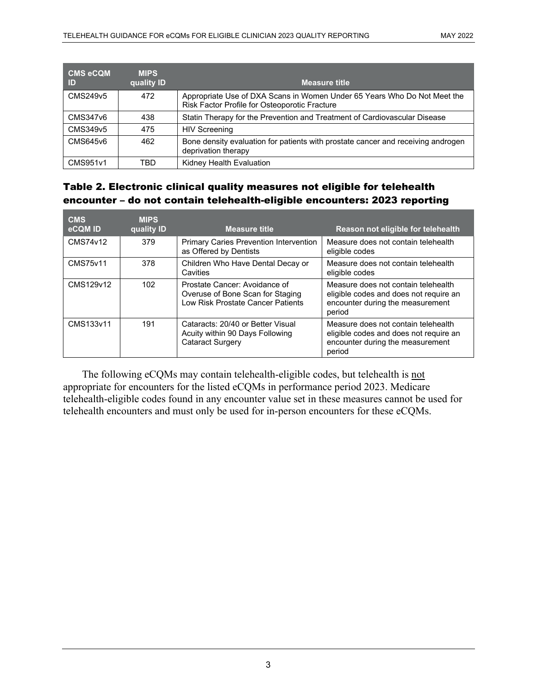| <b>CMS eCQM</b><br>ID | <b>MIPS</b><br>quality ID | <b>Measure title</b>                                                                                                      |
|-----------------------|---------------------------|---------------------------------------------------------------------------------------------------------------------------|
| CMS249v5              | 472                       | Appropriate Use of DXA Scans in Women Under 65 Years Who Do Not Meet the<br>Risk Factor Profile for Osteoporotic Fracture |
| CMS347v6              | 438                       | Statin Therapy for the Prevention and Treatment of Cardiovascular Disease                                                 |
| CMS349v5              | 475                       | <b>HIV Screening</b>                                                                                                      |
| CMS645v6              | 462                       | Bone density evaluation for patients with prostate cancer and receiving androgen<br>deprivation therapy                   |
| CMS951v1              | TBD                       | Kidney Health Evaluation                                                                                                  |

## Table 2. Electronic clinical quality measures not eligible for telehealth encounter – do not contain telehealth-eligible encounters: 2023 reporting

| <b>CMS</b><br>eCQM ID | <b>MIPS</b><br>quality ID | <b>Measure title</b>                                                                                   | Reason not eligible for telehealth                                                                                          |
|-----------------------|---------------------------|--------------------------------------------------------------------------------------------------------|-----------------------------------------------------------------------------------------------------------------------------|
| CMS74v12              | 379                       | <b>Primary Caries Prevention Intervention</b><br>as Offered by Dentists                                | Measure does not contain telehealth<br>eligible codes                                                                       |
| <b>CMS75v11</b>       | 378                       | Children Who Have Dental Decay or<br>Cavities                                                          | Measure does not contain telehealth<br>eligible codes                                                                       |
| CMS129v12             | 102 <sub>1</sub>          | Prostate Cancer: Avoidance of<br>Overuse of Bone Scan for Staging<br>Low Risk Prostate Cancer Patients | Measure does not contain telehealth<br>eligible codes and does not require an<br>encounter during the measurement<br>period |
| CMS133v11             | 191                       | Cataracts: 20/40 or Better Visual<br>Acuity within 90 Days Following<br><b>Cataract Surgery</b>        | Measure does not contain telehealth<br>eligible codes and does not require an<br>encounter during the measurement<br>period |

The following eCQMs may contain telehealth-eligible codes, but telehealth is not appropriate for encounters for the listed eCQMs in performance period 2023. Medicare telehealth-eligible codes found in any encounter value set in these measures cannot be used for telehealth encounters and must only be used for in-person encounters for these eCQMs.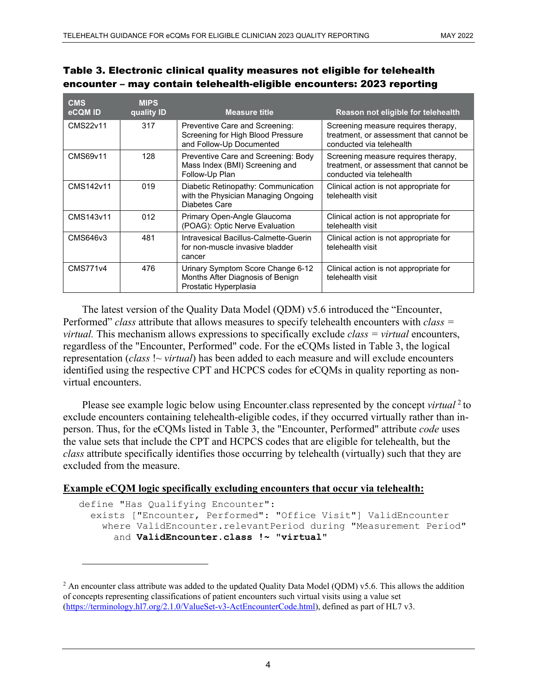| <b>CMS</b><br>eCQM ID | <b>MIPS</b><br>quality ID | <b>Measure title</b>                                                                            | Reason not eligible for telehealth                                                                         |
|-----------------------|---------------------------|-------------------------------------------------------------------------------------------------|------------------------------------------------------------------------------------------------------------|
| CMS22v11              | 317                       | Preventive Care and Screening:<br>Screening for High Blood Pressure<br>and Follow-Up Documented | Screening measure requires therapy,<br>treatment, or assessment that cannot be<br>conducted via telehealth |
| CMS69v11              | 128                       | Preventive Care and Screening: Body<br>Mass Index (BMI) Screening and<br>Follow-Up Plan         | Screening measure requires therapy,<br>treatment, or assessment that cannot be<br>conducted via telehealth |
| CMS142v11             | 019                       | Diabetic Retinopathy: Communication<br>with the Physician Managing Ongoing<br>Diabetes Care     | Clinical action is not appropriate for<br>telehealth visit                                                 |
| CMS143v11             | 012                       | Primary Open-Angle Glaucoma<br>(POAG): Optic Nerve Evaluation                                   | Clinical action is not appropriate for<br>telehealth visit                                                 |
| CMS646v3              | 481                       | Intravesical Bacillus-Calmette-Guerin<br>for non-muscle invasive bladder<br>cancer              | Clinical action is not appropriate for<br>telehealth visit                                                 |
| <b>CMS771v4</b>       | 476                       | Urinary Symptom Score Change 6-12<br>Months After Diagnosis of Benign<br>Prostatic Hyperplasia  | Clinical action is not appropriate for<br>telehealth visit                                                 |

### Table 3. Electronic clinical quality measures not eligible for telehealth encounter – may contain telehealth-eligible encounters: 2023 reporting

The latest version of the Quality Data Model (QDM) v5.6 introduced the "Encounter, Performed" *class* attribute that allows measures to specify telehealth encounters with *class = virtual.* This mechanism allows expressions to specifically exclude *class = virtual* encounters, regardless of the "Encounter, Performed" code. For the eCQMs listed in Table 3, the logical representation *(class !~ virtual)* has been added to each measure and will exclude encounters identified using the respective CPT and HCPCS codes for eCQMs in quality reporting as nonvirtual encounters.

Please see example logic below using Encounter.class represented by the concept *virtual* <sup>[2](#page-3-0)</sup> to exclude encounters containing telehealth-eligible codes, if they occurred virtually rather than inperson. Thus, for the eCQMs listed in Table 3, the "Encounter, Performed" attribute *code* uses the value sets that include the CPT and HCPCS codes that are eligible for telehealth, but the *class* attribute specifically identifies those occurring by telehealth (virtually) such that they are excluded from the measure.

#### **Example eCQM logic specifically excluding encounters that occur via telehealth:**

```
define "Has Qualifying Encounter":
   exists ["Encounter, Performed": "Office Visit"] ValidEncounter
     where ValidEncounter.relevantPeriod during "Measurement Period"
       and ValidEncounter.class !~ "virtual"
```
<span id="page-3-0"></span><sup>&</sup>lt;sup>2</sup> An encounter class attribute was added to the updated Quality Data Model (QDM) v5.6. This allows the addition of concepts representing classifications of patient encounters such virtual visits using a value set [\(https://terminology.hl7.org/2.1.0/ValueSet-v3-ActEncounterCode.html\)](https://terminology.hl7.org/2.1.0/ValueSet-v3-ActEncounterCode.html), defined as part of HL7 v3.